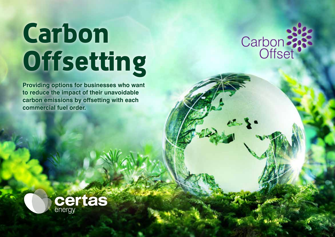# **Carbon Offsetting**

**Providing options for businesses who want to reduce the impact of their unavoidable carbon emissions by offsetting with each commercial fuel order.**



以!

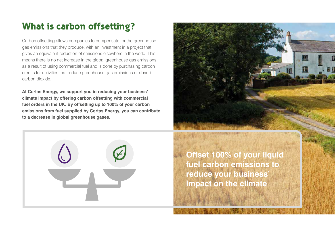#### **What is carbon offsetting?**

Carbon offsetting allows companies to compensate for the greenhouse gas emissions that they produce, with an investment in a project that gives an equivalent reduction of emissions elsewhere in the world. This means there is no net increase in the global greenhouse gas emissions as a result of using commercial fuel and is done by purchasing carbon credits for activities that reduce greenhouse gas emissions or absorb carbon dioxide.

**At Certas Energy, we support you in reducing your business' climate impact by offering carbon offsetting with commercial fuel orders in the UK. By offsetting up to 100% of your carbon emissions from fuel supplied by Certas Energy, you can contribute to a decrease in global greenhouse gases.**





**Offset 100% of your liquid fuel carbon emissions to reduce your business' impact on the climate**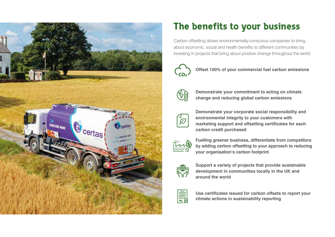

### **The benefits to your business**

Carbon offsetting allows environmentally-conscious companies to bring about economic, social and health benefits to different communities by investing in projects that bring about positive change throughout the world.



**Offset 100% of your commercial fuel carbon emissions** 



**Demonstrate your commitment to acting on climate change and reducing global carbon emissions**



**Demonstrate your corporate social responsibility and environmental integrity to your customers with marketing support and offsetting certificates for each carbon credit purchased**



**Fuelling greener business, differentiate from competitors by adding carbon offsetting to your approach to reducing your organisation's carbon footprint**



**Support a variety of projects that provide sustainable development in communities locally in the UK and around the world**



**Use certificates issued for carbon offsets to report your climate actions in sustainability reporting**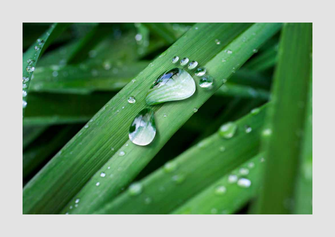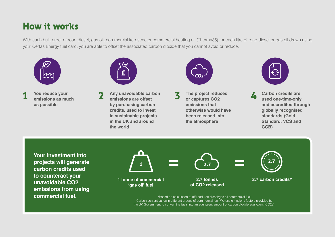#### **How it works**

With each bulk order of road diesel, gas oil, commercial kerosene or commercial heating oil (Therma35), or each litre of road diesel or gas oil drawn using your Certas Energy fuel card, you are able to offset the associated carbon dioxide that you cannot avoid or reduce.



**1 You reduce your emissions as much as possible**

- - **2 Any unavoidable carbon emissions are offset by purchasing carbon credits, used to invest in sustainable projects in the UK and around the world**



**3 The project reduces or captures CO2 emissions that otherwise would have been released into the atmosphere** 



**4 Carbon credits are used one-time-only and accredited through globally recognised standards (Gold Standard, VCS and CCB)**

**Your investment into projects will generate carbon credits used to counteract your unavoidable CO2 emissions from using** 



**commercial fuel.**  $\blacksquare$ Carbon content varies in different grades of commercial fuel. We use emissions factors provided by the UK Government to convert the fuels into an equivalent amount of carbon dioxide equivalent (CO2e).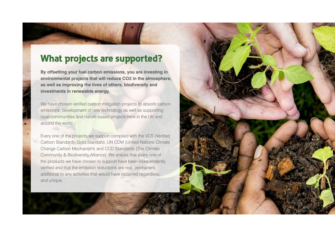#### **What projects are supported?**

**By offsetting your fuel carbon emissions, you are investing in environmental projects that will reduce CO2 in the atmosphere, as well as improving the lives of others, biodiversity and investments in renewable energy.**

We have chosen verified carbon mitigation projects to absorb carbon emissions, development of new technology as well as supporting local communities and nature-based projects here in the UK and around the world.

Every one of the projects we support complied with the VCS (Verified Carbon Standard), Gold Standard, UN CDM (United Nations Climate Change Carbon Mechanism) and CCD Standards (The Climate Community & Biodiversity Alliance). We ensure that every one of the products we have chosen to support have been independently verified and that the emission reductions are real, permanent, additional to any activities that would have occurred regardless, and unique.

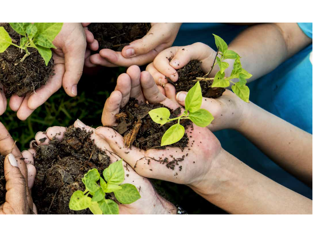